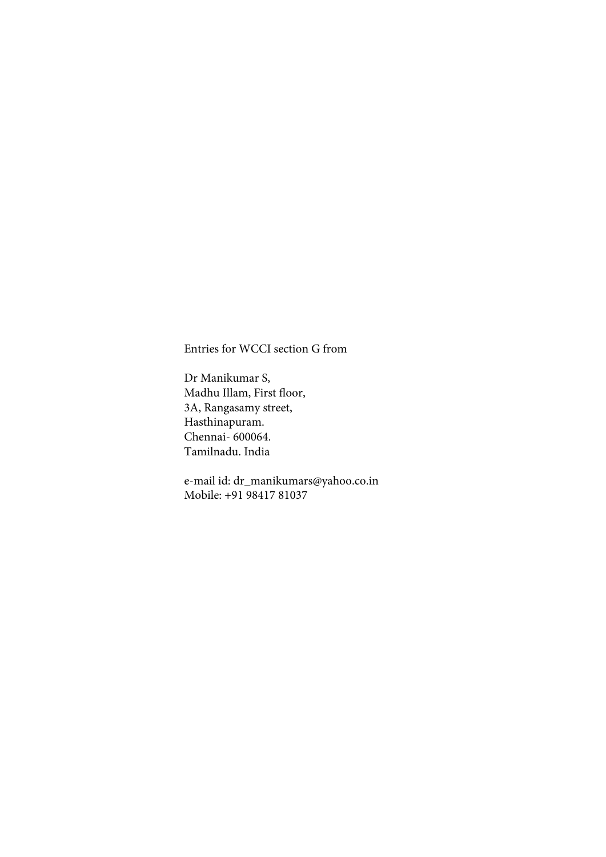Entries for WCCI section G from

Dr Manikumar S, Madhu Illam, First floor, 3A, Rangasamy street, Hasthinapuram. Chennai- 600064. Tamilnadu. India

e-mail id: dr\_manikumars@yahoo.co.in Mobile: +91 98417 81037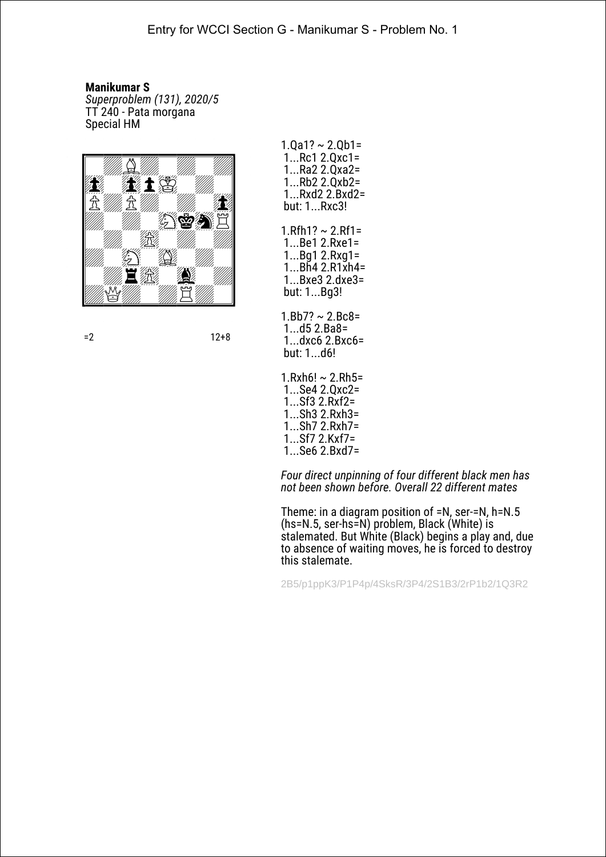*Superproblem (131), 2020/5* TT 240 - Pata morgana Special HM



- $1.$ Qa1? ~ 2.Qb1= 1...Rc1 2.Qxc1= 1...Ra2 2.Qxa2= 1...Rb2 2.Qxb2= 1...Rxd2 2.Bxd2= but: 1...Rxc3!
- $1.$ Rfh $1? \sim 2.$ Rf1= 1...Be1 2.Rxe1= 1...Bg1 2.Rxg1= 1...Bh4 2.R1xh4= 1...Bxe3 2.dxe3= but: 1...Bg3!
- $1.Bb7? \sim 2.Bc8=$  1...d5 2.Ba8= 1...dxc6 2.Bxc6= but: 1...d6!
- $1.Rxh6! \sim 2.Rh5=$  1...Se4 2.Qxc2= 1...Sf3 2.Rxf2= 1...Sh3 2.Rxh3= 1...Sh7 2.Rxh7= 1...Sf7 2.Kxf7= 1...Se6 2.Bxd7=

*Four direct unpinning of four different black men has not been shown before. Overall 22 different mates*

Theme: in a diagram position of =N, ser-=N, h=N.5 (hs=N.5, ser-hs=N) problem, Black (White) is stalemated. But White (Black) begins a play and, due to absence of waiting moves, he is forced to destroy this stalemate.

2B5/p1ppK3/P1P4p/4SksR/3P4/2S1B3/2rP1b2/1Q3R2

 $=2$  12+8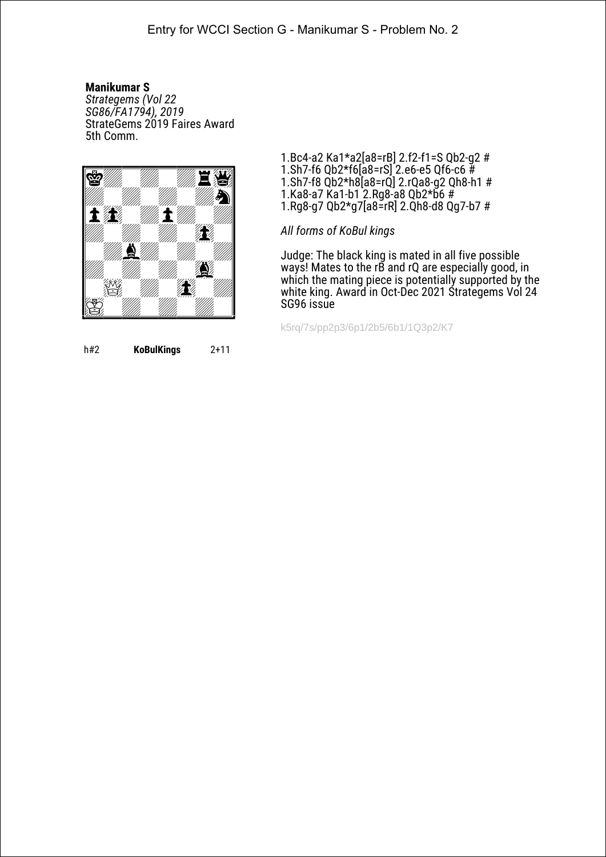*Strategems (Vol 22 SG86/FA1794), 2019* StrateGems 2019 Faires Award 5th Сomm.



1.Bc4-a2 Ka1\*a2[a8=rB] 2.f2-f1=S Qb2-g2 # 1.Sh7-f6 Qb2\*f6[a8=rS] 2.e6-e5 Qf6-c6 # 1.Sh7-f8 Qb2\*h8[a8=rQ] 2.rQa8-g2 Qh8-h1 # 1.Ka8-a7 Ka1-b1 2.Rg8-a8 Qb2\*b6 # 1.Rg8-g7 Qb2\*g7[a8=rR] 2.Qh8-d8 Qg7-b7 #

*All forms of KoBul kings*

Judge: The black king is mated in all five possible ways! Mates to the rB and rQ are especially good, in which the mating piece is potentially supported by the white king. Award in Oct-Dec 2021 Strategems Vol 24 SG96 issue

k5rq/7s/pp2p3/6p1/2b5/6b1/1Q3p2/K7

h#2 **KoBulKings** 2+11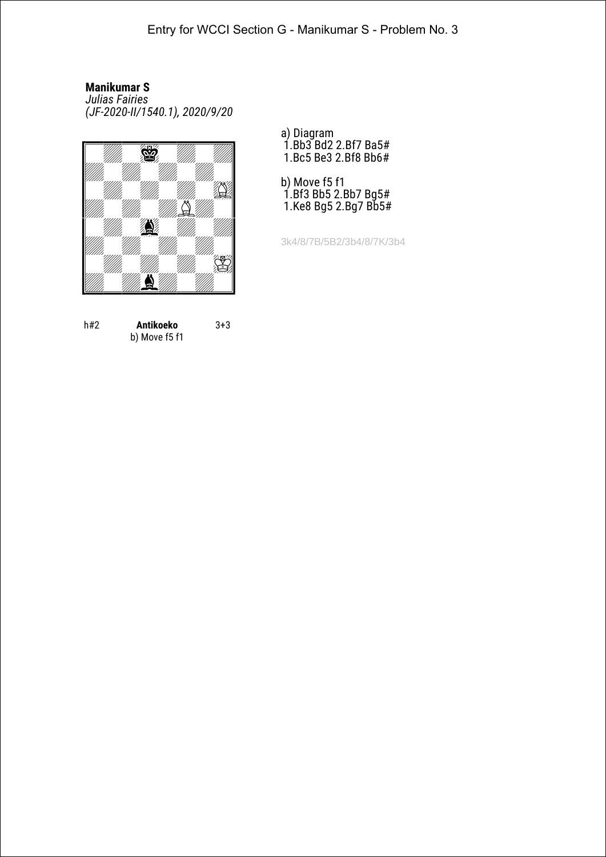*Julias Fairies (JF-2020-II/1540.1), 2020/9/20*



b) Move f5 f1

3+3

h#2 **Antikoeko**

- a) Diagram
- 1.Bb3 Bd2 2.Bf7 Ba5# 1.Bc5 Be3 2.Bf8 Bb6#
- b) Move f5 f1 1.Bf3 Bb5 2.Bb7 Bg5# 1.Ke8 Bg5 2.Bg7 Bb5#

3k4/8/7B/5B2/3b4/8/7K/3b4